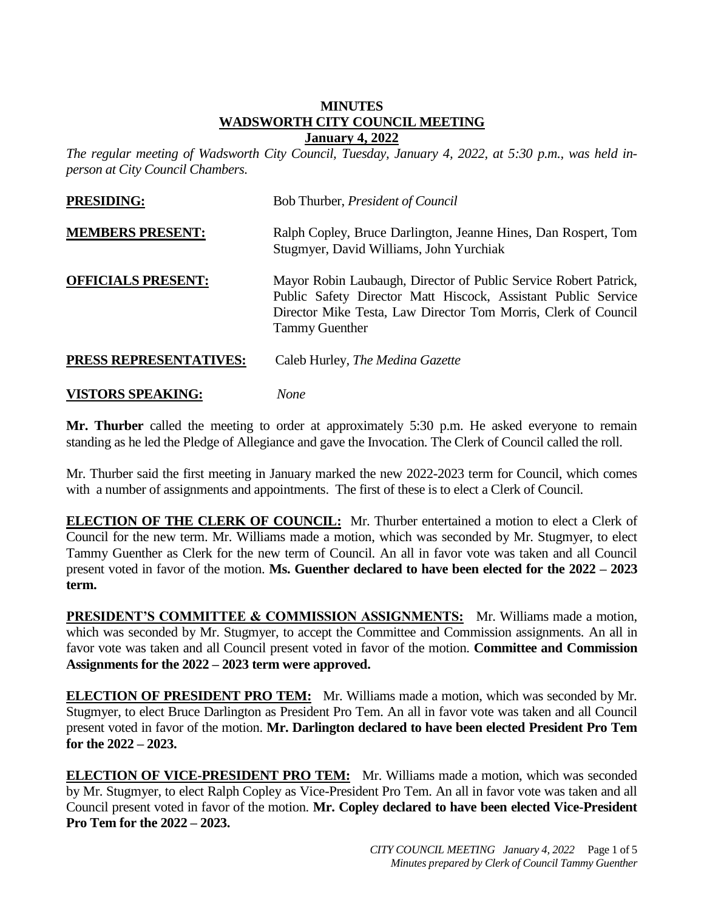### **MINUTES WADSWORTH CITY COUNCIL MEETING January 4, 2022**

*The regular meeting of Wadsworth City Council, Tuesday, January 4, 2022, at 5:30 p.m., was held inperson at City Council Chambers.* 

| <b>PRESIDING:</b>         | Bob Thurber, <i>President of Council</i>                                                                                                                                                                                     |
|---------------------------|------------------------------------------------------------------------------------------------------------------------------------------------------------------------------------------------------------------------------|
| <b>MEMBERS PRESENT:</b>   | Ralph Copley, Bruce Darlington, Jeanne Hines, Dan Rospert, Tom<br>Stugmyer, David Williams, John Yurchiak                                                                                                                    |
| <b>OFFICIALS PRESENT:</b> | Mayor Robin Laubaugh, Director of Public Service Robert Patrick,<br>Public Safety Director Matt Hiscock, Assistant Public Service<br>Director Mike Testa, Law Director Tom Morris, Clerk of Council<br><b>Tammy Guenther</b> |
| PRESS REPRESENTATIVES:    | Caleb Hurley, <i>The Medina Gazette</i>                                                                                                                                                                                      |
| <b>VISTORS SPEAKING:</b>  | <b>None</b>                                                                                                                                                                                                                  |

**Mr. Thurber** called the meeting to order at approximately 5:30 p.m. He asked everyone to remain standing as he led the Pledge of Allegiance and gave the Invocation. The Clerk of Council called the roll.

Mr. Thurber said the first meeting in January marked the new 2022-2023 term for Council, which comes with a number of assignments and appointments. The first of these is to elect a Clerk of Council.

**ELECTION OF THE CLERK OF COUNCIL:** Mr. Thurber entertained a motion to elect a Clerk of Council for the new term. Mr. Williams made a motion, which was seconded by Mr. Stugmyer, to elect Tammy Guenther as Clerk for the new term of Council. An all in favor vote was taken and all Council present voted in favor of the motion. **Ms. Guenther declared to have been elected for the 2022 – 2023 term.**

**PRESIDENT'S COMMITTEE & COMMISSION ASSIGNMENTS:** Mr. Williams made a motion, which was seconded by Mr. Stugmyer, to accept the Committee and Commission assignments. An all in favor vote was taken and all Council present voted in favor of the motion. **Committee and Commission Assignments for the 2022 – 2023 term were approved.**

**ELECTION OF PRESIDENT PRO TEM:** Mr. Williams made a motion, which was seconded by Mr. Stugmyer, to elect Bruce Darlington as President Pro Tem. An all in favor vote was taken and all Council present voted in favor of the motion. **Mr. Darlington declared to have been elected President Pro Tem for the 2022 – 2023.**

**ELECTION OF VICE-PRESIDENT PRO TEM:** Mr. Williams made a motion, which was seconded by Mr. Stugmyer, to elect Ralph Copley as Vice-President Pro Tem. An all in favor vote was taken and all Council present voted in favor of the motion. **Mr. Copley declared to have been elected Vice-President Pro Tem for the 2022 – 2023.**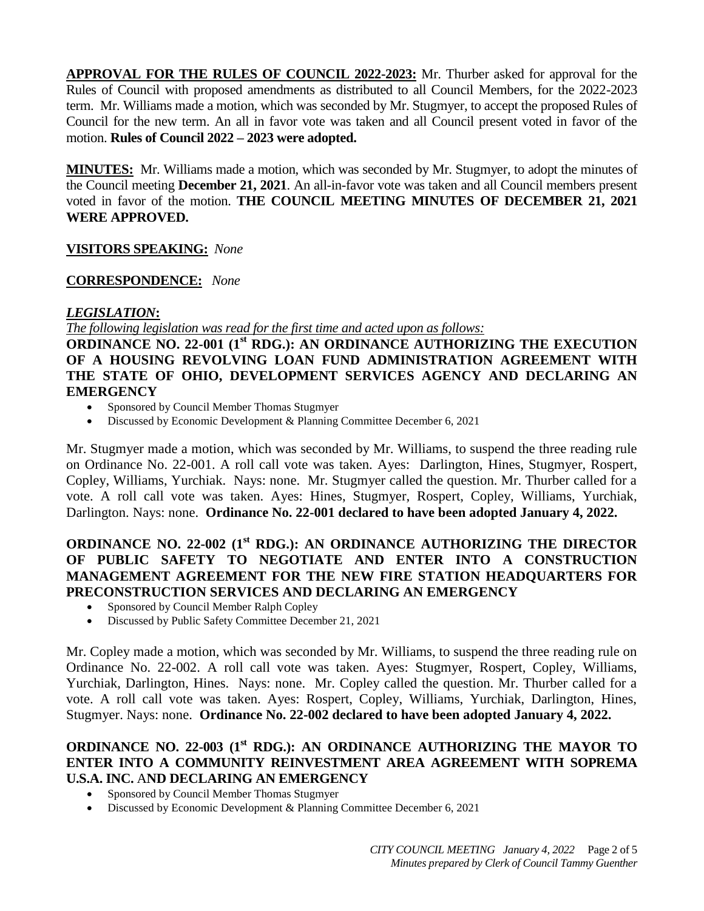**APPROVAL FOR THE RULES OF COUNCIL 2022-2023:** Mr. Thurber asked for approval for the Rules of Council with proposed amendments as distributed to all Council Members, for the 2022-2023 term. Mr. Williams made a motion, which was seconded by Mr. Stugmyer, to accept the proposed Rules of Council for the new term. An all in favor vote was taken and all Council present voted in favor of the motion. **Rules of Council 2022 – 2023 were adopted.**

**MINUTES:** Mr. Williams made a motion, which was seconded by Mr. Stugmyer, to adopt the minutes of the Council meeting **December 21, 2021**. An all-in-favor vote was taken and all Council members present voted in favor of the motion. **THE COUNCIL MEETING MINUTES OF DECEMBER 21, 2021 WERE APPROVED.**

### **VISITORS SPEAKING:** *None*

### **CORRESPONDENCE:** *None*

### *LEGISLATION***:**

*The following legislation was read for the first time and acted upon as follows:*

**ORDINANCE NO. 22-001 (1st RDG.): AN ORDINANCE AUTHORIZING THE EXECUTION OF A HOUSING REVOLVING LOAN FUND ADMINISTRATION AGREEMENT WITH THE STATE OF OHIO, DEVELOPMENT SERVICES AGENCY AND DECLARING AN EMERGENCY**

- Sponsored by Council Member Thomas Stugmyer
- Discussed by Economic Development & Planning Committee December 6, 2021

Mr. Stugmyer made a motion, which was seconded by Mr. Williams, to suspend the three reading rule on Ordinance No. 22-001. A roll call vote was taken. Ayes: Darlington, Hines, Stugmyer, Rospert, Copley, Williams, Yurchiak. Nays: none. Mr. Stugmyer called the question. Mr. Thurber called for a vote. A roll call vote was taken. Ayes: Hines, Stugmyer, Rospert, Copley, Williams, Yurchiak, Darlington. Nays: none. **Ordinance No. 22-001 declared to have been adopted January 4, 2022.**

## **ORDINANCE NO. 22-002 (1st RDG.): AN ORDINANCE AUTHORIZING THE DIRECTOR OF PUBLIC SAFETY TO NEGOTIATE AND ENTER INTO A CONSTRUCTION MANAGEMENT AGREEMENT FOR THE NEW FIRE STATION HEADQUARTERS FOR PRECONSTRUCTION SERVICES AND DECLARING AN EMERGENCY**

- Sponsored by Council Member Ralph Copley
- Discussed by Public Safety Committee December 21, 2021

Mr. Copley made a motion, which was seconded by Mr. Williams, to suspend the three reading rule on Ordinance No. 22-002. A roll call vote was taken. Ayes: Stugmyer, Rospert, Copley, Williams, Yurchiak, Darlington, Hines. Nays: none. Mr. Copley called the question. Mr. Thurber called for a vote. A roll call vote was taken. Ayes: Rospert, Copley, Williams, Yurchiak, Darlington, Hines, Stugmyer. Nays: none. **Ordinance No. 22-002 declared to have been adopted January 4, 2022.**

# **ORDINANCE NO. 22-003 (1st RDG.): AN ORDINANCE AUTHORIZING THE MAYOR TO ENTER INTO A COMMUNITY REINVESTMENT AREA AGREEMENT WITH SOPREMA U.S.A. INC.** A**ND DECLARING AN EMERGENCY**

- Sponsored by Council Member Thomas Stugmyer
- Discussed by Economic Development & Planning Committee December 6, 2021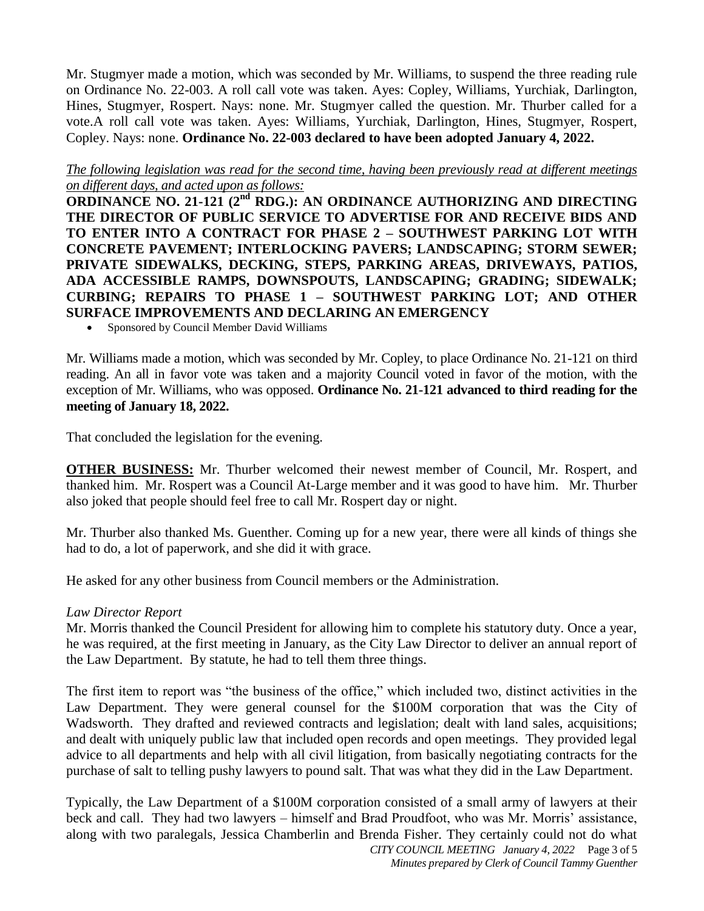Mr. Stugmyer made a motion, which was seconded by Mr. Williams, to suspend the three reading rule on Ordinance No. 22-003. A roll call vote was taken. Ayes: Copley, Williams, Yurchiak, Darlington, Hines, Stugmyer, Rospert. Nays: none. Mr. Stugmyer called the question. Mr. Thurber called for a vote.A roll call vote was taken. Ayes: Williams, Yurchiak, Darlington, Hines, Stugmyer, Rospert, Copley. Nays: none. **Ordinance No. 22-003 declared to have been adopted January 4, 2022.**

### *The following legislation was read for the second time, having been previously read at different meetings on different days, and acted upon as follows:*

**ORDINANCE NO. 21-121 (2<sup>nd</sup> RDG.): AN ORDINANCE AUTHORIZING AND DIRECTING THE DIRECTOR OF PUBLIC SERVICE TO ADVERTISE FOR AND RECEIVE BIDS AND TO ENTER INTO A CONTRACT FOR PHASE 2 – SOUTHWEST PARKING LOT WITH CONCRETE PAVEMENT; INTERLOCKING PAVERS; LANDSCAPING; STORM SEWER; PRIVATE SIDEWALKS, DECKING, STEPS, PARKING AREAS, DRIVEWAYS, PATIOS, ADA ACCESSIBLE RAMPS, DOWNSPOUTS, LANDSCAPING; GRADING; SIDEWALK; CURBING; REPAIRS TO PHASE 1 – SOUTHWEST PARKING LOT; AND OTHER SURFACE IMPROVEMENTS AND DECLARING AN EMERGENCY**

Sponsored by Council Member David Williams

Mr. Williams made a motion, which was seconded by Mr. Copley, to place Ordinance No. 21-121 on third reading. An all in favor vote was taken and a majority Council voted in favor of the motion, with the exception of Mr. Williams, who was opposed. **Ordinance No. 21-121 advanced to third reading for the meeting of January 18, 2022.**

That concluded the legislation for the evening.

**OTHER BUSINESS:** Mr. Thurber welcomed their newest member of Council, Mr. Rospert, and thanked him. Mr. Rospert was a Council At-Large member and it was good to have him. Mr. Thurber also joked that people should feel free to call Mr. Rospert day or night.

Mr. Thurber also thanked Ms. Guenther. Coming up for a new year, there were all kinds of things she had to do, a lot of paperwork, and she did it with grace.

He asked for any other business from Council members or the Administration.

### *Law Director Report*

Mr. Morris thanked the Council President for allowing him to complete his statutory duty. Once a year, he was required, at the first meeting in January, as the City Law Director to deliver an annual report of the Law Department. By statute, he had to tell them three things.

The first item to report was "the business of the office," which included two, distinct activities in the Law Department. They were general counsel for the \$100M corporation that was the City of Wadsworth. They drafted and reviewed contracts and legislation; dealt with land sales, acquisitions; and dealt with uniquely public law that included open records and open meetings. They provided legal advice to all departments and help with all civil litigation, from basically negotiating contracts for the purchase of salt to telling pushy lawyers to pound salt. That was what they did in the Law Department.

*CITY COUNCIL MEETING January 4, 2022* Page 3 of 5 Typically, the Law Department of a \$100M corporation consisted of a small army of lawyers at their beck and call. They had two lawyers – himself and Brad Proudfoot, who was Mr. Morris' assistance, along with two paralegals, Jessica Chamberlin and Brenda Fisher. They certainly could not do what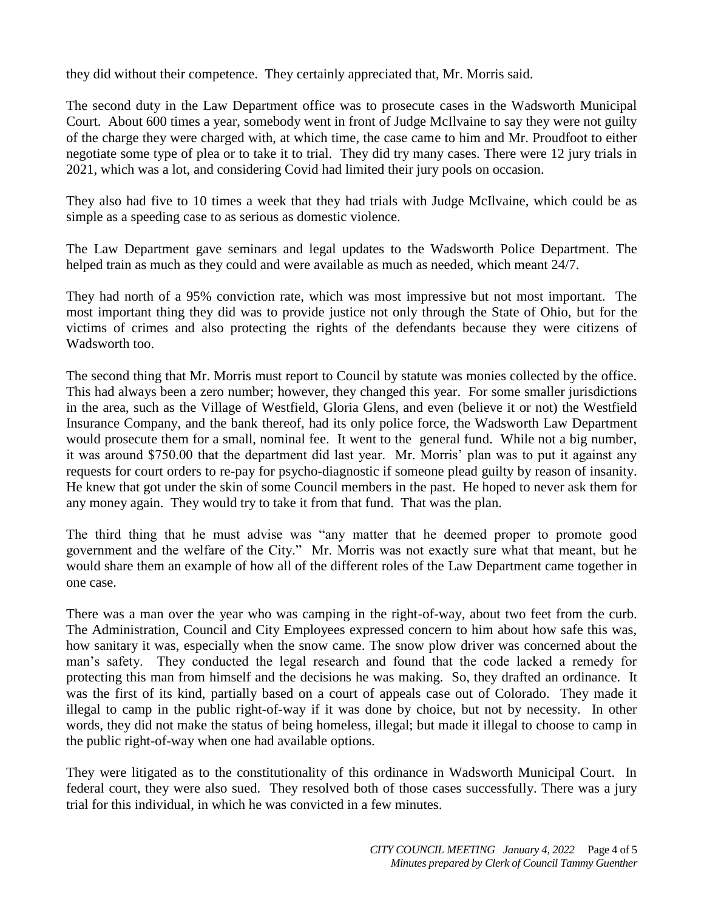they did without their competence. They certainly appreciated that, Mr. Morris said.

The second duty in the Law Department office was to prosecute cases in the Wadsworth Municipal Court. About 600 times a year, somebody went in front of Judge McIlvaine to say they were not guilty of the charge they were charged with, at which time, the case came to him and Mr. Proudfoot to either negotiate some type of plea or to take it to trial. They did try many cases. There were 12 jury trials in 2021, which was a lot, and considering Covid had limited their jury pools on occasion.

They also had five to 10 times a week that they had trials with Judge McIlvaine, which could be as simple as a speeding case to as serious as domestic violence.

The Law Department gave seminars and legal updates to the Wadsworth Police Department. The helped train as much as they could and were available as much as needed, which meant 24/7.

They had north of a 95% conviction rate, which was most impressive but not most important. The most important thing they did was to provide justice not only through the State of Ohio, but for the victims of crimes and also protecting the rights of the defendants because they were citizens of Wadsworth too.

The second thing that Mr. Morris must report to Council by statute was monies collected by the office. This had always been a zero number; however, they changed this year. For some smaller jurisdictions in the area, such as the Village of Westfield, Gloria Glens, and even (believe it or not) the Westfield Insurance Company, and the bank thereof, had its only police force, the Wadsworth Law Department would prosecute them for a small, nominal fee. It went to the general fund. While not a big number, it was around \$750.00 that the department did last year. Mr. Morris' plan was to put it against any requests for court orders to re-pay for psycho-diagnostic if someone plead guilty by reason of insanity. He knew that got under the skin of some Council members in the past. He hoped to never ask them for any money again. They would try to take it from that fund. That was the plan.

The third thing that he must advise was "any matter that he deemed proper to promote good government and the welfare of the City." Mr. Morris was not exactly sure what that meant, but he would share them an example of how all of the different roles of the Law Department came together in one case.

There was a man over the year who was camping in the right-of-way, about two feet from the curb. The Administration, Council and City Employees expressed concern to him about how safe this was, how sanitary it was, especially when the snow came. The snow plow driver was concerned about the man's safety. They conducted the legal research and found that the code lacked a remedy for protecting this man from himself and the decisions he was making. So, they drafted an ordinance. It was the first of its kind, partially based on a court of appeals case out of Colorado. They made it illegal to camp in the public right-of-way if it was done by choice, but not by necessity. In other words, they did not make the status of being homeless, illegal; but made it illegal to choose to camp in the public right-of-way when one had available options.

They were litigated as to the constitutionality of this ordinance in Wadsworth Municipal Court. In federal court, they were also sued. They resolved both of those cases successfully. There was a jury trial for this individual, in which he was convicted in a few minutes.